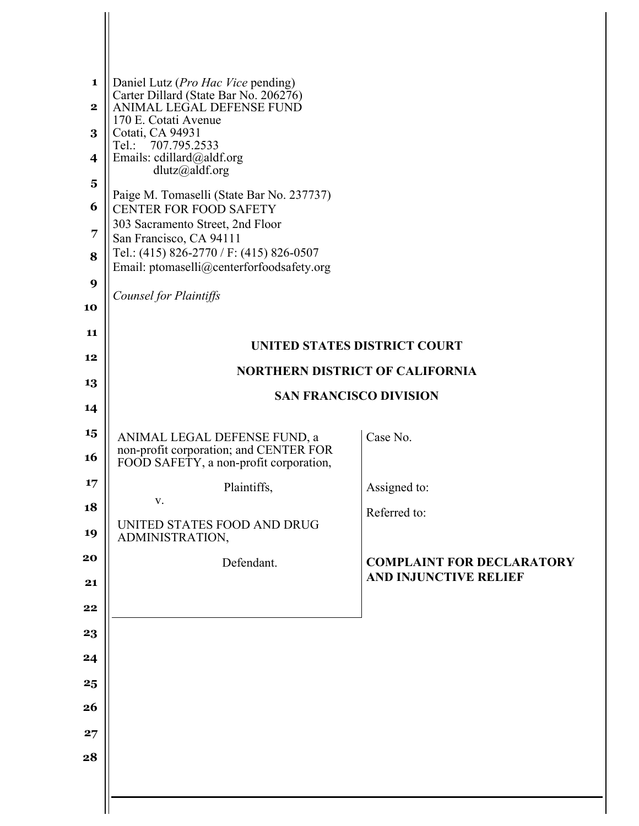| 1<br>$\mathbf{2}$<br>3<br>4<br>$\overline{\mathbf{5}}$<br>6<br>7<br>8<br>9<br>10<br>11 | Daniel Lutz (Pro Hac Vice pending)<br>Carter Dillard (State Bar No. 206276)<br>ANIMAL LEGAL DEFENSE FUND<br>170 E. Cotati Avenue<br>Cotati, CA 94931<br>Tel.: 707.795.2533<br>Emails: cdillard@aldf.org<br>$d$ lutz@aldf.org<br>Paige M. Tomaselli (State Bar No. 237737)<br><b>CENTER FOR FOOD SAFETY</b><br>303 Sacramento Street, 2nd Floor<br>San Francisco, CA 94111<br>Tel.: (415) 826-2770 / F: (415) 826-0507<br>Email: ptomaselli@centerforfoodsafety.org<br>Counsel for Plaintiffs |                                                                  |
|----------------------------------------------------------------------------------------|----------------------------------------------------------------------------------------------------------------------------------------------------------------------------------------------------------------------------------------------------------------------------------------------------------------------------------------------------------------------------------------------------------------------------------------------------------------------------------------------|------------------------------------------------------------------|
| 12                                                                                     |                                                                                                                                                                                                                                                                                                                                                                                                                                                                                              | <b>UNITED STATES DISTRICT COURT</b>                              |
| 13                                                                                     |                                                                                                                                                                                                                                                                                                                                                                                                                                                                                              | <b>NORTHERN DISTRICT OF CALIFORNIA</b>                           |
| 14                                                                                     |                                                                                                                                                                                                                                                                                                                                                                                                                                                                                              | <b>SAN FRANCISCO DIVISION</b>                                    |
| 15                                                                                     |                                                                                                                                                                                                                                                                                                                                                                                                                                                                                              |                                                                  |
| 16                                                                                     | ANIMAL LEGAL DEFENSE FUND, a<br>non-profit corporation; and CENTER FOR<br>FOOD SAFETY, a non-profit corporation,                                                                                                                                                                                                                                                                                                                                                                             | Case No.                                                         |
| 17                                                                                     | Plaintiffs,                                                                                                                                                                                                                                                                                                                                                                                                                                                                                  | Assigned to:                                                     |
| 18                                                                                     | V.                                                                                                                                                                                                                                                                                                                                                                                                                                                                                           | Referred to:                                                     |
| 19                                                                                     | UNITED STATES FOOD AND DRUG<br>ADMINISTRATION,                                                                                                                                                                                                                                                                                                                                                                                                                                               |                                                                  |
| 20<br>21                                                                               | Defendant.                                                                                                                                                                                                                                                                                                                                                                                                                                                                                   | <b>COMPLAINT FOR DECLARATORY</b><br><b>AND INJUNCTIVE RELIEF</b> |
| 22                                                                                     |                                                                                                                                                                                                                                                                                                                                                                                                                                                                                              |                                                                  |
| 23                                                                                     |                                                                                                                                                                                                                                                                                                                                                                                                                                                                                              |                                                                  |
| 24                                                                                     |                                                                                                                                                                                                                                                                                                                                                                                                                                                                                              |                                                                  |
| 25                                                                                     |                                                                                                                                                                                                                                                                                                                                                                                                                                                                                              |                                                                  |
| 26                                                                                     |                                                                                                                                                                                                                                                                                                                                                                                                                                                                                              |                                                                  |
| 27                                                                                     |                                                                                                                                                                                                                                                                                                                                                                                                                                                                                              |                                                                  |
| 28                                                                                     |                                                                                                                                                                                                                                                                                                                                                                                                                                                                                              |                                                                  |
|                                                                                        |                                                                                                                                                                                                                                                                                                                                                                                                                                                                                              |                                                                  |
|                                                                                        |                                                                                                                                                                                                                                                                                                                                                                                                                                                                                              |                                                                  |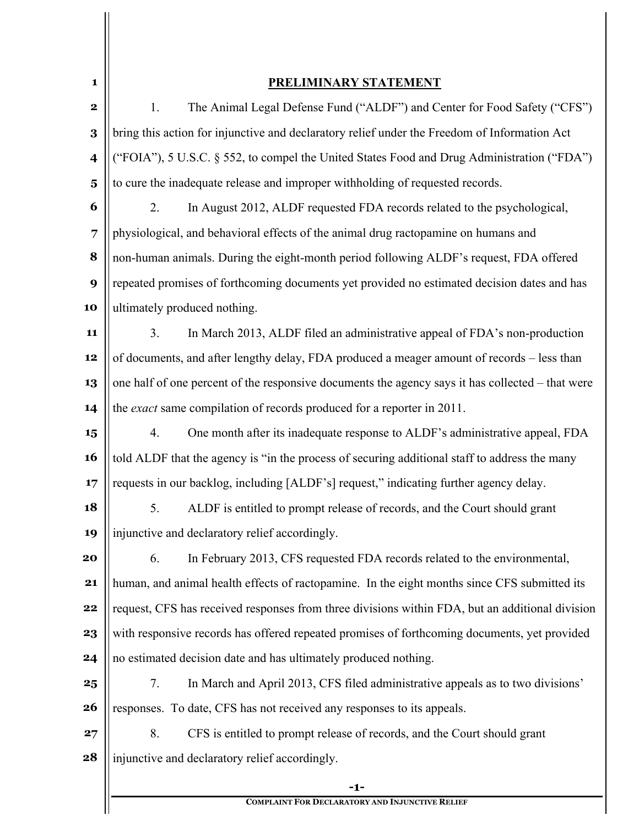| 1                       | <b>PRELIMINARY STATEMENT</b>                                                                     |
|-------------------------|--------------------------------------------------------------------------------------------------|
| $\mathbf 2$             | The Animal Legal Defense Fund ("ALDF") and Center for Food Safety ("CFS")<br>1.                  |
| $\bf{3}$                | bring this action for injunctive and declaratory relief under the Freedom of Information Act     |
| $\overline{\mathbf{4}}$ | ("FOIA"), 5 U.S.C. § 552, to compel the United States Food and Drug Administration ("FDA")       |
| $\overline{\mathbf{5}}$ | to cure the inadequate release and improper withholding of requested records.                    |
| 6                       | In August 2012, ALDF requested FDA records related to the psychological,<br>2.                   |
| $\overline{7}$          | physiological, and behavioral effects of the animal drug ractopamine on humans and               |
| 8                       | non-human animals. During the eight-month period following ALDF's request, FDA offered           |
| 9                       | repeated promises of forthcoming documents yet provided no estimated decision dates and has      |
| 10                      | ultimately produced nothing.                                                                     |
| 11                      | In March 2013, ALDF filed an administrative appeal of FDA's non-production<br>3 <sub>1</sub>     |
| 12                      | of documents, and after lengthy delay, FDA produced a meager amount of records - less than       |
| 13                      | one half of one percent of the responsive documents the agency says it has collected – that were |
| 14                      | the exact same compilation of records produced for a reporter in 2011.                           |
| 15                      | One month after its inadequate response to ALDF's administrative appeal, FDA<br>4.               |
| 16                      | told ALDF that the agency is "in the process of securing additional staff to address the many    |
| 17                      | requests in our backlog, including [ALDF's] request," indicating further agency delay.           |
| 18                      | ALDF is entitled to prompt release of records, and the Court should grant<br>5.                  |
| 19                      | injunctive and declaratory relief accordingly.                                                   |
| 20                      | 6.<br>In February 2013, CFS requested FDA records related to the environmental,                  |
| 21                      | human, and animal health effects of ractopamine. In the eight months since CFS submitted its     |
| 22                      | request, CFS has received responses from three divisions within FDA, but an additional division  |
| 23                      | with responsive records has offered repeated promises of forthcoming documents, yet provided     |
| 24                      | no estimated decision date and has ultimately produced nothing.                                  |
| 25                      | In March and April 2013, CFS filed administrative appeals as to two divisions'<br>7.             |
| 26                      | responses. To date, CFS has not received any responses to its appeals.                           |
| 27                      | 8.<br>CFS is entitled to prompt release of records, and the Court should grant                   |
| 28                      | injunctive and declaratory relief accordingly.                                                   |
|                         | $-1-$                                                                                            |

**COMPLAINT FOR DECLARATORY AND INJUNCTIVE RELIEF**

 $\frac{1}{2}$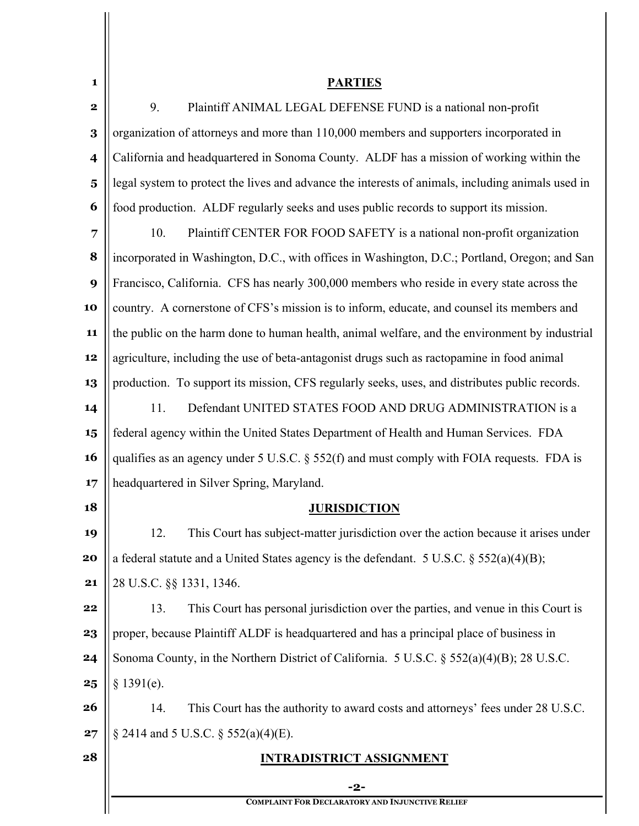| 1                       | <b>PARTIES</b>                                                                                    |
|-------------------------|---------------------------------------------------------------------------------------------------|
| $\bf{2}$                | Plaintiff ANIMAL LEGAL DEFENSE FUND is a national non-profit<br>9.                                |
| 3                       | organization of attorneys and more than 110,000 members and supporters incorporated in            |
| $\overline{\mathbf{4}}$ | California and headquartered in Sonoma County. ALDF has a mission of working within the           |
| $5\phantom{.0}$         | legal system to protect the lives and advance the interests of animals, including animals used in |
| 6                       | food production. ALDF regularly seeks and uses public records to support its mission.             |
| 7                       | Plaintiff CENTER FOR FOOD SAFETY is a national non-profit organization<br>10.                     |
| 8                       | incorporated in Washington, D.C., with offices in Washington, D.C.; Portland, Oregon; and San     |
| 9                       | Francisco, California. CFS has nearly 300,000 members who reside in every state across the        |
| 10                      | country. A cornerstone of CFS's mission is to inform, educate, and counsel its members and        |
| 11                      | the public on the harm done to human health, animal welfare, and the environment by industrial    |
| 12                      | agriculture, including the use of beta-antagonist drugs such as ractopamine in food animal        |
| 13                      | production. To support its mission, CFS regularly seeks, uses, and distributes public records.    |
| 14                      | Defendant UNITED STATES FOOD AND DRUG ADMINISTRATION is a<br>11.                                  |
| 15                      | federal agency within the United States Department of Health and Human Services. FDA              |
| 16                      | qualifies as an agency under 5 U.S.C. § 552(f) and must comply with FOIA requests. FDA is         |
| 17                      | headquartered in Silver Spring, Maryland.                                                         |
| 18                      | <b>JURISDICTION</b>                                                                               |
| 19                      | This Court has subject-matter jurisdiction over the action because it arises under<br>12.         |
| 20                      | a federal statute and a United States agency is the defendant. 5 U.S.C. $\S$ 552(a)(4)(B);        |
| 21                      | 28 U.S.C. §§ 1331, 1346.                                                                          |
| 22                      | This Court has personal jurisdiction over the parties, and venue in this Court is<br>13.          |
| 23                      | proper, because Plaintiff ALDF is headquartered and has a principal place of business in          |
| 24                      | Sonoma County, in the Northern District of California. 5 U.S.C. § 552(a)(4)(B); 28 U.S.C.         |
| 25                      | § 1391(e).                                                                                        |
| 26                      | This Court has the authority to award costs and attorneys' fees under 28 U.S.C.<br>14.            |
| 27                      | § 2414 and 5 U.S.C. § 552(a)(4)(E).                                                               |
| 28                      | <b>INTRADISTRICT ASSIGNMENT</b>                                                                   |
|                         | -2-                                                                                               |
|                         | <b>COMPLAINT FOR DECLARATORY AND INJUNCTIVE RELIEF</b>                                            |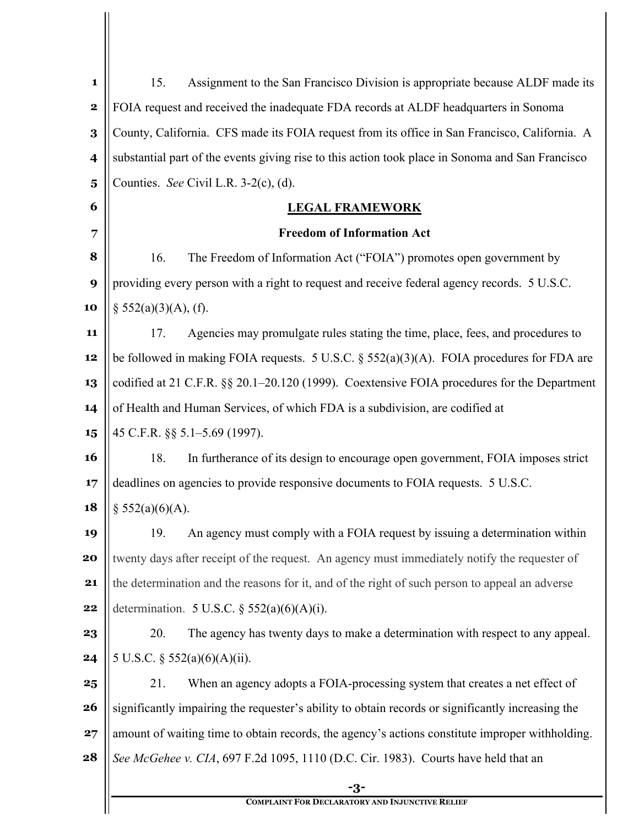| $\mathbf{1}$            | Assignment to the San Francisco Division is appropriate because ALDF made its<br>15.              |  |
|-------------------------|---------------------------------------------------------------------------------------------------|--|
| $\mathbf 2$             | FOIA request and received the inadequate FDA records at ALDF headquarters in Sonoma               |  |
| 3                       | County, California. CFS made its FOIA request from its office in San Francisco, California. A     |  |
| $\overline{\mathbf{4}}$ | substantial part of the events giving rise to this action took place in Sonoma and San Francisco  |  |
| $\overline{\mathbf{5}}$ | Counties. See Civil L.R. 3-2(c), (d).                                                             |  |
| 6                       | <b>LEGAL FRAMEWORK</b>                                                                            |  |
| 7                       | <b>Freedom of Information Act</b>                                                                 |  |
| 8                       | 16.<br>The Freedom of Information Act ("FOIA") promotes open government by                        |  |
| 9                       | providing every person with a right to request and receive federal agency records. 5 U.S.C.       |  |
| 10                      | $\S$ 552(a)(3)(A), (f).                                                                           |  |
| 11                      | Agencies may promulgate rules stating the time, place, fees, and procedures to<br>17.             |  |
| 12                      | be followed in making FOIA requests. 5 U.S.C. $\S$ 552(a)(3)(A). FOIA procedures for FDA are      |  |
| 13                      | codified at 21 C.F.R. §§ 20.1–20.120 (1999). Coextensive FOIA procedures for the Department       |  |
| 14                      | of Health and Human Services, of which FDA is a subdivision, are codified at                      |  |
| 15                      | 45 C.F.R. §§ 5.1–5.69 (1997).                                                                     |  |
| <b>16</b>               | In furtherance of its design to encourage open government, FOIA imposes strict<br>18.             |  |
| 17                      | deadlines on agencies to provide responsive documents to FOIA requests. 5 U.S.C.                  |  |
| 18                      | $§$ 552(a)(6)(A).                                                                                 |  |
| 19                      | An agency must comply with a FOIA request by issuing a determination within<br>19.                |  |
| 20                      | twenty days after receipt of the request. An agency must immediately notify the requester of      |  |
| 21                      | the determination and the reasons for it, and of the right of such person to appeal an adverse    |  |
| 22                      | determination. 5 U.S.C. $\S$ 552(a)(6)(A)(i).                                                     |  |
| 23                      | 20.<br>The agency has twenty days to make a determination with respect to any appeal.             |  |
| 24                      | 5 U.S.C. $\S$ 552(a)(6)(A)(ii).                                                                   |  |
| 25                      | When an agency adopts a FOIA-processing system that creates a net effect of<br>21.                |  |
| 26                      | significantly impairing the requester's ability to obtain records or significantly increasing the |  |
| 27                      | amount of waiting time to obtain records, the agency's actions constitute improper withholding.   |  |
| 28                      | See McGehee v. CIA, 697 F.2d 1095, 1110 (D.C. Cir. 1983). Courts have held that an                |  |
|                         | -3-                                                                                               |  |
|                         | <b>COMPLAINT FOR DECLARATORY AND INJUNCTIVE RELIEF</b>                                            |  |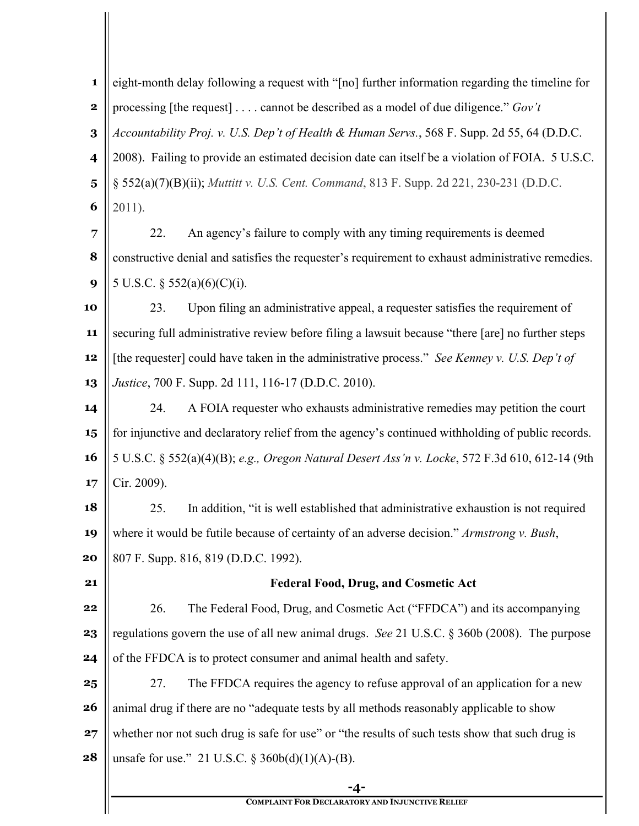**-4- 1 2 3 4 5 6 7 8 9 10 11 12 13 14 15 16 17 18 19 20 21 22 23 24 25 26 27 28** eight-month delay following a request with "[no] further information regarding the timeline for processing [the request] . . . . cannot be described as a model of due diligence." *Gov't Accountability Proj. v. U.S. Dep't of Health & Human Servs.*, 568 F. Supp. 2d 55, 64 (D.D.C. 2008). Failing to provide an estimated decision date can itself be a violation of FOIA. 5 U.S.C. § 552(a)(7)(B)(ii); *Muttitt v. U.S. Cent. Command*, 813 F. Supp. 2d 221, 230-231 (D.D.C. 2011). 22. An agency's failure to comply with any timing requirements is deemed constructive denial and satisfies the requester's requirement to exhaust administrative remedies. 5 U.S.C. § 552(a)(6)(C)(i). 23. Upon filing an administrative appeal, a requester satisfies the requirement of securing full administrative review before filing a lawsuit because "there [are] no further steps [the requester] could have taken in the administrative process." *See Kenney v. U.S. Dep't of Justice*, 700 F. Supp. 2d 111, 116-17 (D.D.C. 2010). 24. A FOIA requester who exhausts administrative remedies may petition the court for injunctive and declaratory relief from the agency's continued withholding of public records. 5 U.S.C. § 552(a)(4)(B); *e.g., Oregon Natural Desert Ass'n v. Locke*, 572 F.3d 610, 612-14 (9th Cir. 2009). 25. In addition, "it is well established that administrative exhaustion is not required where it would be futile because of certainty of an adverse decision." *Armstrong v. Bush*, 807 F. Supp. 816, 819 (D.D.C. 1992). **Federal Food, Drug, and Cosmetic Act** 26. The Federal Food, Drug, and Cosmetic Act ("FFDCA") and its accompanying regulations govern the use of all new animal drugs. *See* 21 U.S.C. § 360b (2008). The purpose of the FFDCA is to protect consumer and animal health and safety. 27. The FFDCA requires the agency to refuse approval of an application for a new animal drug if there are no "adequate tests by all methods reasonably applicable to show whether nor not such drug is safe for use" or "the results of such tests show that such drug is unsafe for use." 21 U.S.C.  $\frac{2560b(d)(1)(A)-B}{B}$ .

**COMPLAINT FOR DECLARATORY AND INJUNCTIVE RELIEF**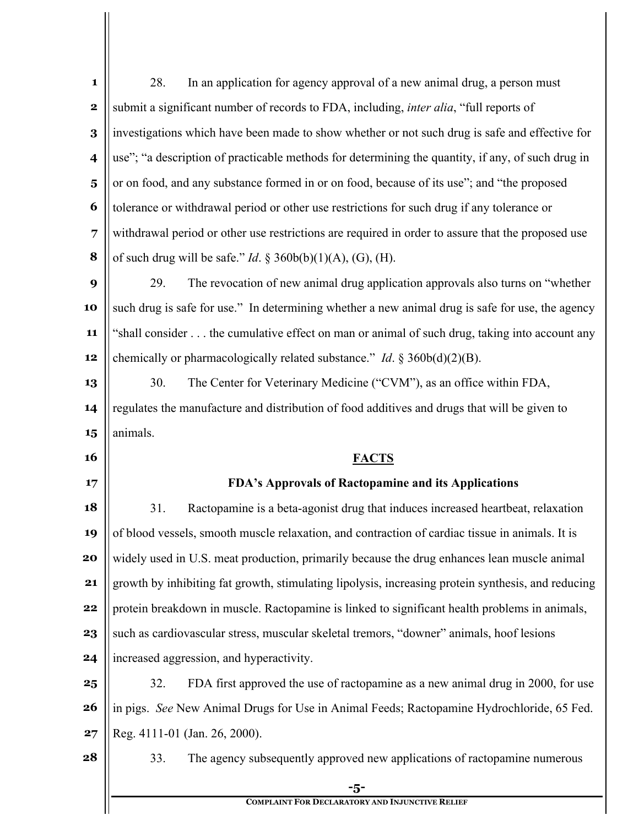| 1                       | In an application for agency approval of a new animal drug, a person must<br>28.                   |
|-------------------------|----------------------------------------------------------------------------------------------------|
| $\mathbf 2$             | submit a significant number of records to FDA, including, inter alia, "full reports of             |
| 3                       | investigations which have been made to show whether or not such drug is safe and effective for     |
| $\overline{\mathbf{4}}$ | use"; "a description of practicable methods for determining the quantity, if any, of such drug in  |
| $\overline{\mathbf{5}}$ | or on food, and any substance formed in or on food, because of its use"; and "the proposed         |
| 6                       | tolerance or withdrawal period or other use restrictions for such drug if any tolerance or         |
| 7                       | withdrawal period or other use restrictions are required in order to assure that the proposed use  |
| 8                       | of such drug will be safe." <i>Id.</i> § 360b(b)(1)(A), (G), (H).                                  |
| 9                       | 29.<br>The revocation of new animal drug application approvals also turns on "whether              |
| 10                      | such drug is safe for use." In determining whether a new animal drug is safe for use, the agency   |
| 11                      | "shall consider the cumulative effect on man or animal of such drug, taking into account any       |
| 12                      | chemically or pharmacologically related substance." <i>Id.</i> $\S 360b(d)(2)(B)$ .                |
| 13                      | The Center for Veterinary Medicine ("CVM"), as an office within FDA,<br>30.                        |
| 14                      | regulates the manufacture and distribution of food additives and drugs that will be given to       |
| 15                      | animals.                                                                                           |
|                         |                                                                                                    |
| 16                      | <b>FACTS</b>                                                                                       |
| 17                      | FDA's Approvals of Ractopamine and its Applications                                                |
| 18                      | Ractopamine is a beta-agonist drug that induces increased heartbeat, relaxation<br>31.             |
| 19                      | of blood vessels, smooth muscle relaxation, and contraction of cardiac tissue in animals. It is    |
| 20                      | widely used in U.S. meat production, primarily because the drug enhances lean muscle animal        |
| 21                      | growth by inhibiting fat growth, stimulating lipolysis, increasing protein synthesis, and reducing |
| 22                      | protein breakdown in muscle. Ractopamine is linked to significant health problems in animals,      |
| 23                      | such as cardiovascular stress, muscular skeletal tremors, "downer" animals, hoof lesions           |
| 24                      | increased aggression, and hyperactivity.                                                           |
| 25                      | FDA first approved the use of ractopamine as a new animal drug in 2000, for use<br>32.             |
| 26                      | in pigs. See New Animal Drugs for Use in Animal Feeds; Ractopamine Hydrochloride, 65 Fed.          |
| 27                      | Reg. 4111-01 (Jan. 26, 2000).                                                                      |
| 28                      | The agency subsequently approved new applications of ractopamine numerous<br>33.                   |
|                         | -5-<br><b>COMPLAINT FOR DECLARATORY AND INJUNCTIVE RELIEF</b>                                      |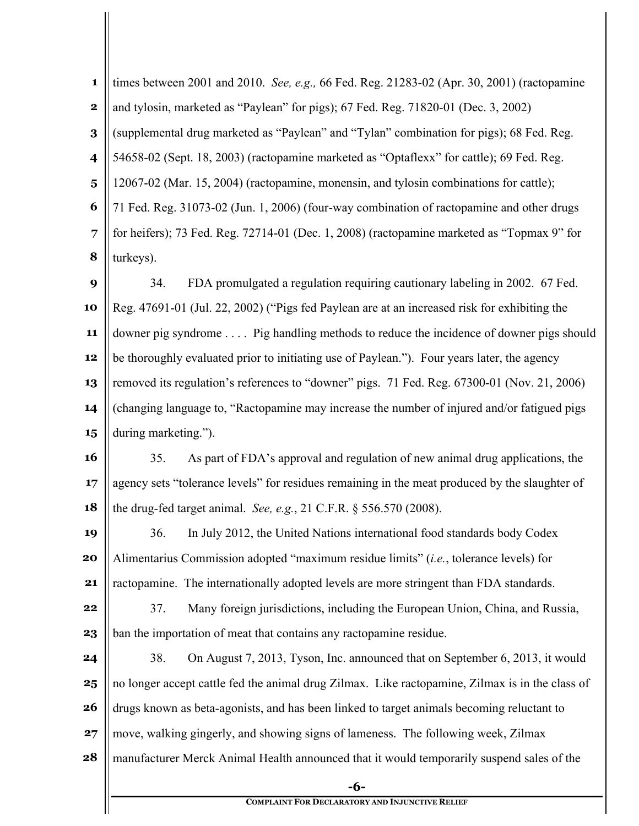| $\mathbf 1$             | times between 2001 and 2010. See, e.g., 66 Fed. Reg. 21283-02 (Apr. 30, 2001) (ractopamine      |  |  |
|-------------------------|-------------------------------------------------------------------------------------------------|--|--|
| $\mathbf 2$             | and tylosin, marketed as "Paylean" for pigs); 67 Fed. Reg. 71820-01 (Dec. 3, 2002)              |  |  |
| $\bf{3}$                | (supplemental drug marketed as "Paylean" and "Tylan" combination for pigs); 68 Fed. Reg.        |  |  |
| $\overline{\mathbf{4}}$ | 54658-02 (Sept. 18, 2003) (ractopamine marketed as "Optaflexx" for cattle); 69 Fed. Reg.        |  |  |
| $\overline{\mathbf{5}}$ | 12067-02 (Mar. 15, 2004) (ractopamine, monensin, and tylosin combinations for cattle);          |  |  |
| 6                       | 71 Fed. Reg. 31073-02 (Jun. 1, 2006) (four-way combination of ractopamine and other drugs       |  |  |
| $\overline{7}$          | for heifers); 73 Fed. Reg. 72714-01 (Dec. 1, 2008) (ractopamine marketed as "Topmax 9" for      |  |  |
| 8                       | turkeys).                                                                                       |  |  |
| 9                       | FDA promulgated a regulation requiring cautionary labeling in 2002. 67 Fed.<br>34.              |  |  |
| 10                      | Reg. 47691-01 (Jul. 22, 2002) ("Pigs fed Paylean are at an increased risk for exhibiting the    |  |  |
| 11                      | downer pig syndrome Pig handling methods to reduce the incidence of downer pigs should          |  |  |
| 12                      | be thoroughly evaluated prior to initiating use of Paylean."). Four years later, the agency     |  |  |
| 13                      | removed its regulation's references to "downer" pigs. 71 Fed. Reg. 67300-01 (Nov. 21, 2006)     |  |  |
| 14                      | (changing language to, "Ractopamine may increase the number of injured and/or fatigued pigs     |  |  |
| 15                      | during marketing.").                                                                            |  |  |
| 16                      | As part of FDA's approval and regulation of new animal drug applications, the<br>35.            |  |  |
| 17                      | agency sets "tolerance levels" for residues remaining in the meat produced by the slaughter of  |  |  |
| 18                      | the drug-fed target animal. See, e.g., $21$ C.F.R. $\S$ 556.570 (2008).                         |  |  |
| 19                      | 36. In July 2012, the United Nations international food standards body Codex                    |  |  |
| 20                      | Alimentarius Commission adopted "maximum residue limits" (i.e., tolerance levels) for           |  |  |
| 21                      | ractopamine. The internationally adopted levels are more stringent than FDA standards.          |  |  |
| 22                      | 37.<br>Many foreign jurisdictions, including the European Union, China, and Russia,             |  |  |
| 23                      | ban the importation of meat that contains any ractopamine residue.                              |  |  |
| 24                      | 38.<br>On August 7, 2013, Tyson, Inc. announced that on September 6, 2013, it would             |  |  |
| 25                      | no longer accept cattle fed the animal drug Zilmax. Like ractopamine, Zilmax is in the class of |  |  |
| 26                      | drugs known as beta-agonists, and has been linked to target animals becoming reluctant to       |  |  |
| 27                      | move, walking gingerly, and showing signs of lameness. The following week, Zilmax               |  |  |
| 28                      | manufacturer Merck Animal Health announced that it would temporarily suspend sales of the       |  |  |
|                         | $-6-$                                                                                           |  |  |
|                         | <b>COMPLAINT FOR DECLARATORY AND INJUNCTIVE RELIEF</b>                                          |  |  |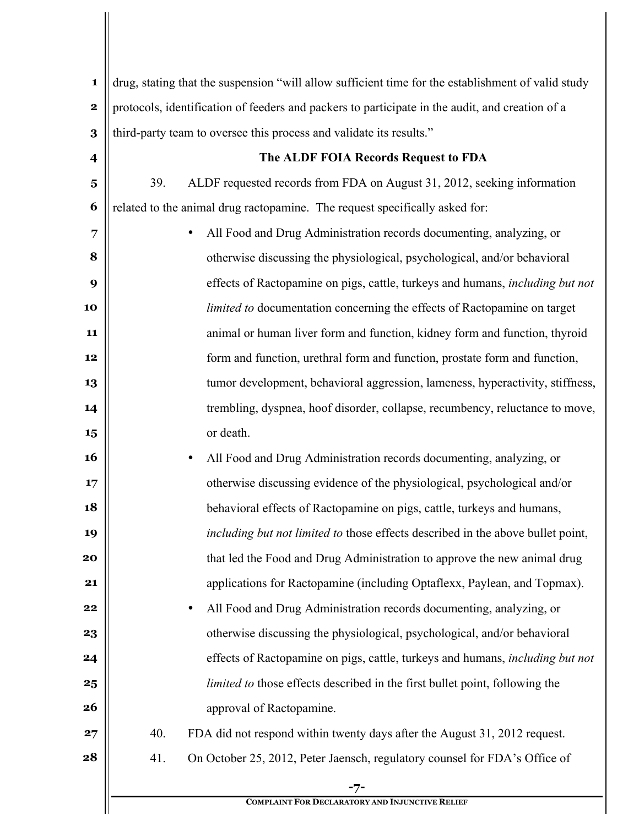| $\mathbf 1$             | drug, stating that the suspension "will allow sufficient time for the establishment of valid study |  |  |
|-------------------------|----------------------------------------------------------------------------------------------------|--|--|
| $\mathbf 2$             | protocols, identification of feeders and packers to participate in the audit, and creation of a    |  |  |
| 3                       | third-party team to oversee this process and validate its results."                                |  |  |
| $\overline{\mathbf{4}}$ | The ALDF FOIA Records Request to FDA                                                               |  |  |
| $\overline{\mathbf{5}}$ | 39.<br>ALDF requested records from FDA on August 31, 2012, seeking information                     |  |  |
| 6                       | related to the animal drug ractopamine. The request specifically asked for:                        |  |  |
| 7                       | All Food and Drug Administration records documenting, analyzing, or<br>$\bullet$                   |  |  |
| 8                       | otherwise discussing the physiological, psychological, and/or behavioral                           |  |  |
| 9                       | effects of Ractopamine on pigs, cattle, turkeys and humans, including but not                      |  |  |
| 10                      | <i>limited to documentation concerning the effects of Ractopamine on target</i>                    |  |  |
| 11                      | animal or human liver form and function, kidney form and function, thyroid                         |  |  |
| 12                      | form and function, urethral form and function, prostate form and function,                         |  |  |
| 13                      | tumor development, behavioral aggression, lameness, hyperactivity, stiffness,                      |  |  |
| 14                      | trembling, dyspnea, hoof disorder, collapse, recumbency, reluctance to move,                       |  |  |
| 15                      | or death.                                                                                          |  |  |
| 16                      | All Food and Drug Administration records documenting, analyzing, or<br>$\bullet$                   |  |  |
| 17                      | otherwise discussing evidence of the physiological, psychological and/or                           |  |  |
| 18                      | behavioral effects of Ractopamine on pigs, cattle, turkeys and humans,                             |  |  |
| 19                      | including but not limited to those effects described in the above bullet point,                    |  |  |
| 20                      | that led the Food and Drug Administration to approve the new animal drug                           |  |  |
| 21                      | applications for Ractopamine (including Optaflexx, Paylean, and Topmax).                           |  |  |
| 22                      | All Food and Drug Administration records documenting, analyzing, or<br>$\bullet$                   |  |  |
| 23                      | otherwise discussing the physiological, psychological, and/or behavioral                           |  |  |
| 24                      | effects of Ractopamine on pigs, cattle, turkeys and humans, <i>including but not</i>               |  |  |
| 25                      | <i>limited to those effects described in the first bullet point, following the</i>                 |  |  |
| 26                      | approval of Ractopamine.                                                                           |  |  |
| 27                      | 40.<br>FDA did not respond within twenty days after the August 31, 2012 request.                   |  |  |
| 28                      | 41.<br>On October 25, 2012, Peter Jaensch, regulatory counsel for FDA's Office of                  |  |  |
|                         | -7-                                                                                                |  |  |
|                         | <b>COMPLAINT FOR DECLARATORY AND INJUNCTIVE RELIEF</b>                                             |  |  |

 $\mathsf{I}$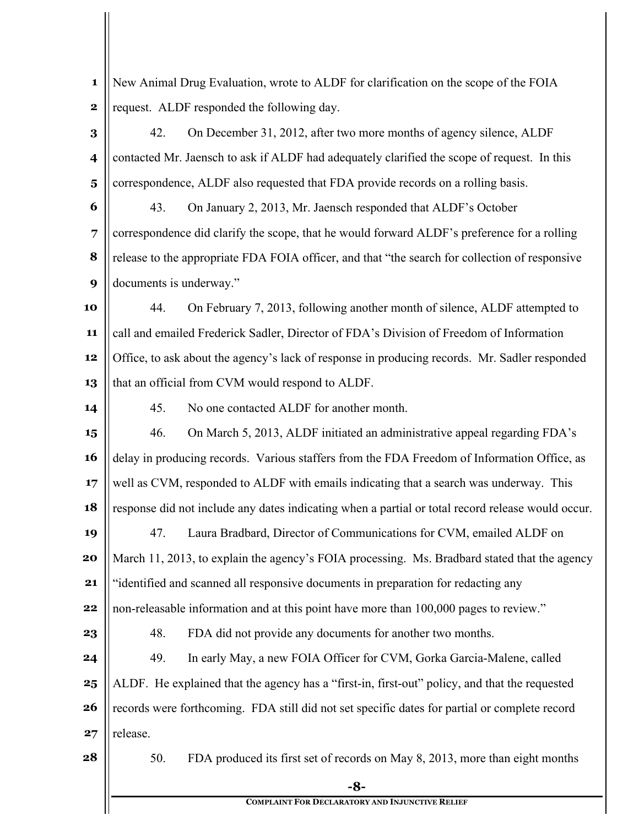**-8- COMPLAINT FOR DECLARATORY AND INJUNCTIVE RELIEF 1 2 3 4 5 6 7 8 9 10 11 12 13 14 15 16 17 18 19 20 21 22 23 24 25 26 27 28** New Animal Drug Evaluation, wrote to ALDF for clarification on the scope of the FOIA request. ALDF responded the following day. 42. On December 31, 2012, after two more months of agency silence, ALDF contacted Mr. Jaensch to ask if ALDF had adequately clarified the scope of request. In this correspondence, ALDF also requested that FDA provide records on a rolling basis. 43. On January 2, 2013, Mr. Jaensch responded that ALDF's October correspondence did clarify the scope, that he would forward ALDF's preference for a rolling release to the appropriate FDA FOIA officer, and that "the search for collection of responsive documents is underway." 44. On February 7, 2013, following another month of silence, ALDF attempted to call and emailed Frederick Sadler, Director of FDA's Division of Freedom of Information Office, to ask about the agency's lack of response in producing records. Mr. Sadler responded that an official from CVM would respond to ALDF. 45. No one contacted ALDF for another month. 46. On March 5, 2013, ALDF initiated an administrative appeal regarding FDA's delay in producing records. Various staffers from the FDA Freedom of Information Office, as well as CVM, responded to ALDF with emails indicating that a search was underway. This response did not include any dates indicating when a partial or total record release would occur. 47. Laura Bradbard, Director of Communications for CVM, emailed ALDF on March 11, 2013, to explain the agency's FOIA processing. Ms. Bradbard stated that the agency "identified and scanned all responsive documents in preparation for redacting any non-releasable information and at this point have more than 100,000 pages to review." 48. FDA did not provide any documents for another two months. 49. In early May, a new FOIA Officer for CVM, Gorka Garcia-Malene, called ALDF. He explained that the agency has a "first-in, first-out" policy, and that the requested records were forthcoming. FDA still did not set specific dates for partial or complete record release. 50. FDA produced its first set of records on May 8, 2013, more than eight months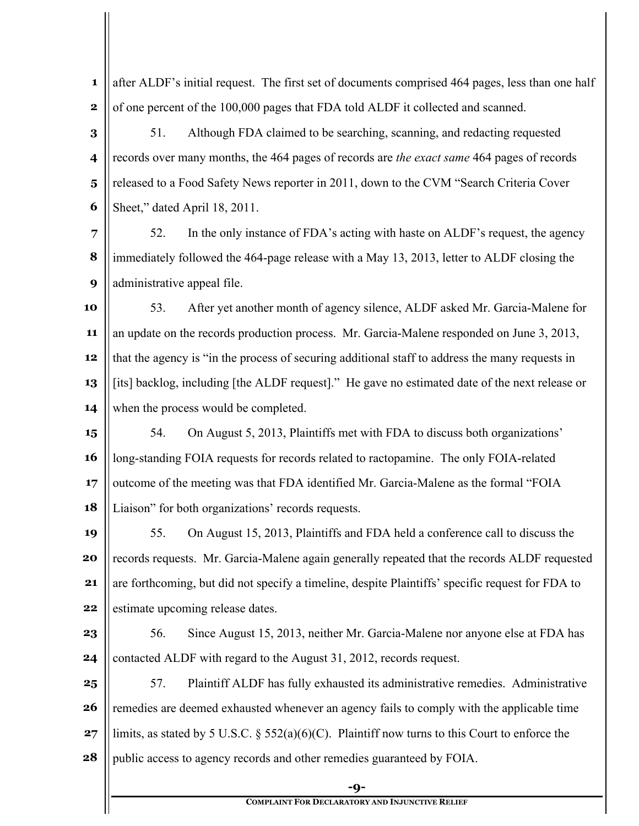**1 2** after ALDF's initial request. The first set of documents comprised 464 pages, less than one half of one percent of the 100,000 pages that FDA told ALDF it collected and scanned.

**3 4 5 6** 51. Although FDA claimed to be searching, scanning, and redacting requested records over many months, the 464 pages of records are *the exact same* 464 pages of records released to a Food Safety News reporter in 2011, down to the CVM "Search Criteria Cover Sheet," dated April 18, 2011.

**7 8 9** 52. In the only instance of FDA's acting with haste on ALDF's request, the agency immediately followed the 464-page release with a May 13, 2013, letter to ALDF closing the administrative appeal file.

**10 11 12 13 14** 53. After yet another month of agency silence, ALDF asked Mr. Garcia-Malene for an update on the records production process. Mr. Garcia-Malene responded on June 3, 2013, that the agency is "in the process of securing additional staff to address the many requests in [its] backlog, including [the ALDF request]." He gave no estimated date of the next release or when the process would be completed.

**15 16 17 18** 54. On August 5, 2013, Plaintiffs met with FDA to discuss both organizations' long-standing FOIA requests for records related to ractopamine. The only FOIA-related outcome of the meeting was that FDA identified Mr. Garcia-Malene as the formal "FOIA Liaison" for both organizations' records requests.

**19 20 21 22** 55. On August 15, 2013, Plaintiffs and FDA held a conference call to discuss the records requests. Mr. Garcia-Malene again generally repeated that the records ALDF requested are forthcoming, but did not specify a timeline, despite Plaintiffs' specific request for FDA to estimate upcoming release dates.

**23 24** 56. Since August 15, 2013, neither Mr. Garcia-Malene nor anyone else at FDA has contacted ALDF with regard to the August 31, 2012, records request.

**25 26 27 28** 57. Plaintiff ALDF has fully exhausted its administrative remedies. Administrative remedies are deemed exhausted whenever an agency fails to comply with the applicable time limits, as stated by 5 U.S.C. § 552(a)(6)(C). Plaintiff now turns to this Court to enforce the public access to agency records and other remedies guaranteed by FOIA.

**-9-**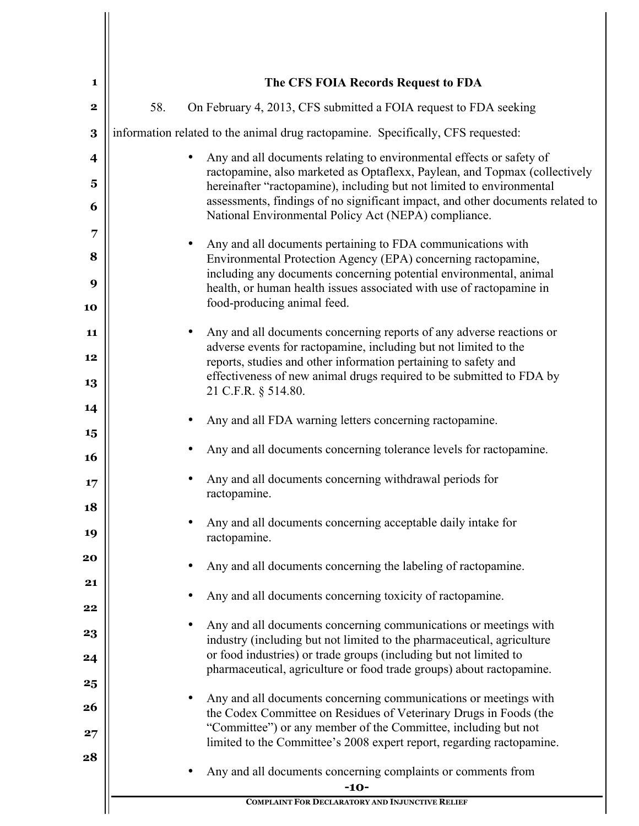| 1           |     | The CFS FOIA Records Request to FDA                                                                                                                                                                                                                                              |
|-------------|-----|----------------------------------------------------------------------------------------------------------------------------------------------------------------------------------------------------------------------------------------------------------------------------------|
| $\mathbf 2$ | 58. | On February 4, 2013, CFS submitted a FOIA request to FDA seeking                                                                                                                                                                                                                 |
| 3           |     | information related to the animal drug ractopamine. Specifically, CFS requested:                                                                                                                                                                                                 |
| 4           |     | Any and all documents relating to environmental effects or safety of<br>$\bullet$<br>ractopamine, also marketed as Optaflexx, Paylean, and Topmax (collectively                                                                                                                  |
| 5<br>6      |     | hereinafter "ractopamine), including but not limited to environmental<br>assessments, findings of no significant impact, and other documents related to                                                                                                                          |
|             |     | National Environmental Policy Act (NEPA) compliance.                                                                                                                                                                                                                             |
|             |     | Any and all documents pertaining to FDA communications with<br>Environmental Protection Agency (EPA) concerning ractopamine,                                                                                                                                                     |
|             |     | including any documents concerning potential environmental, animal<br>health, or human health issues associated with use of ractopamine in                                                                                                                                       |
|             |     | food-producing animal feed.                                                                                                                                                                                                                                                      |
| 11          |     | Any and all documents concerning reports of any adverse reactions or<br>$\bullet$<br>adverse events for ractopamine, including but not limited to the                                                                                                                            |
|             |     | reports, studies and other information pertaining to safety and<br>effectiveness of new animal drugs required to be submitted to FDA by                                                                                                                                          |
|             |     | 21 C.F.R. § 514.80.                                                                                                                                                                                                                                                              |
|             |     | Any and all FDA warning letters concerning ractopamine.                                                                                                                                                                                                                          |
|             |     | Any and all documents concerning tolerance levels for ractopamine.                                                                                                                                                                                                               |
|             |     | Any and all documents concerning withdrawal periods for<br>ractopamine.                                                                                                                                                                                                          |
|             |     | Any and all documents concerning acceptable daily intake for<br>ractopamine.                                                                                                                                                                                                     |
|             |     | Any and all documents concerning the labeling of ractopamine.                                                                                                                                                                                                                    |
|             |     | Any and all documents concerning toxicity of ractopamine.                                                                                                                                                                                                                        |
|             |     | Any and all documents concerning communications or meetings with<br>industry (including but not limited to the pharmaceutical, agriculture                                                                                                                                       |
|             |     | or food industries) or trade groups (including but not limited to<br>pharmaceutical, agriculture or food trade groups) about ractopamine.                                                                                                                                        |
|             |     | Any and all documents concerning communications or meetings with<br>the Codex Committee on Residues of Veterinary Drugs in Foods (the<br>"Committee") or any member of the Committee, including but not<br>limited to the Committee's 2008 expert report, regarding ractopamine. |
|             |     | Any and all documents concerning complaints or comments from<br>$-10-$                                                                                                                                                                                                           |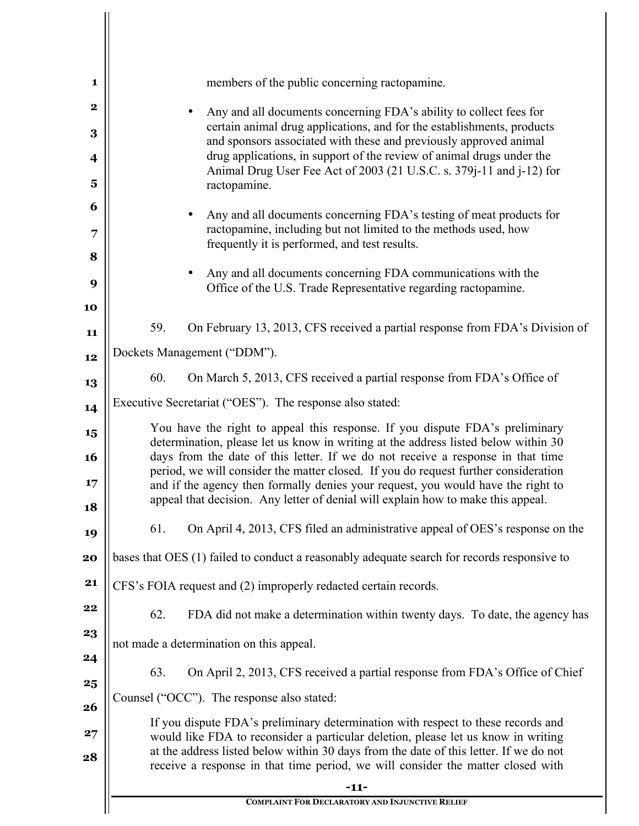| members of the public concerning ractopamine.<br>Any and all documents concerning FDA's ability to collect fees for<br>certain animal drug applications, and for the establishments, products<br>and sponsors associated with these and previously approved animal<br>drug applications, in support of the review of animal drugs under the<br>Animal Drug User Fee Act of 2003 (21 U.S.C. s. 379j-11 and j-12) for<br>ractopamine.<br>Any and all documents concerning FDA's testing of meat products for<br>ractopamine, including but not limited to the methods used, how<br>frequently it is performed, and test results.<br>Any and all documents concerning FDA communications with the<br>Office of the U.S. Trade Representative regarding ractopamine.<br>59.<br>On February 13, 2013, CFS received a partial response from FDA's Division of<br>Dockets Management ("DDM").<br>60.<br>On March 5, 2013, CFS received a partial response from FDA's Office of<br>Executive Secretariat ("OES"). The response also stated:<br>You have the right to appeal this response. If you dispute FDA's preliminary<br>determination, please let us know in writing at the address listed below within 30<br>days from the date of this letter. If we do not receive a response in that time<br>period, we will consider the matter closed. If you do request further consideration<br>and if the agency then formally denies your request, you would have the right to<br>appeal that decision. Any letter of denial will explain how to make this appeal.<br>61.<br>bases that OES (1) failed to conduct a reasonably adequate search for records responsive to<br>CFS's FOIA request and (2) improperly redacted certain records.<br>62.<br>not made a determination on this appeal.<br>63.<br>Counsel ("OCC"). The response also stated:<br>If you dispute FDA's preliminary determination with respect to these records and<br>would like FDA to reconsider a particular deletion, please let us know in writing<br>at the address listed below within 30 days from the date of this letter. If we do not<br>receive a response in that time period, we will consider the matter closed with |  |                                                                               |
|---------------------------------------------------------------------------------------------------------------------------------------------------------------------------------------------------------------------------------------------------------------------------------------------------------------------------------------------------------------------------------------------------------------------------------------------------------------------------------------------------------------------------------------------------------------------------------------------------------------------------------------------------------------------------------------------------------------------------------------------------------------------------------------------------------------------------------------------------------------------------------------------------------------------------------------------------------------------------------------------------------------------------------------------------------------------------------------------------------------------------------------------------------------------------------------------------------------------------------------------------------------------------------------------------------------------------------------------------------------------------------------------------------------------------------------------------------------------------------------------------------------------------------------------------------------------------------------------------------------------------------------------------------------------------------------------------------------------------------------------------------------------------------------------------------------------------------------------------------------------------------------------------------------------------------------------------------------------------------------------------------------------------------------------------------------------------------------------------------------------------------------------------------------------------------------------------|--|-------------------------------------------------------------------------------|
|                                                                                                                                                                                                                                                                                                                                                                                                                                                                                                                                                                                                                                                                                                                                                                                                                                                                                                                                                                                                                                                                                                                                                                                                                                                                                                                                                                                                                                                                                                                                                                                                                                                                                                                                                                                                                                                                                                                                                                                                                                                                                                                                                                                                   |  |                                                                               |
|                                                                                                                                                                                                                                                                                                                                                                                                                                                                                                                                                                                                                                                                                                                                                                                                                                                                                                                                                                                                                                                                                                                                                                                                                                                                                                                                                                                                                                                                                                                                                                                                                                                                                                                                                                                                                                                                                                                                                                                                                                                                                                                                                                                                   |  |                                                                               |
|                                                                                                                                                                                                                                                                                                                                                                                                                                                                                                                                                                                                                                                                                                                                                                                                                                                                                                                                                                                                                                                                                                                                                                                                                                                                                                                                                                                                                                                                                                                                                                                                                                                                                                                                                                                                                                                                                                                                                                                                                                                                                                                                                                                                   |  |                                                                               |
|                                                                                                                                                                                                                                                                                                                                                                                                                                                                                                                                                                                                                                                                                                                                                                                                                                                                                                                                                                                                                                                                                                                                                                                                                                                                                                                                                                                                                                                                                                                                                                                                                                                                                                                                                                                                                                                                                                                                                                                                                                                                                                                                                                                                   |  |                                                                               |
|                                                                                                                                                                                                                                                                                                                                                                                                                                                                                                                                                                                                                                                                                                                                                                                                                                                                                                                                                                                                                                                                                                                                                                                                                                                                                                                                                                                                                                                                                                                                                                                                                                                                                                                                                                                                                                                                                                                                                                                                                                                                                                                                                                                                   |  |                                                                               |
|                                                                                                                                                                                                                                                                                                                                                                                                                                                                                                                                                                                                                                                                                                                                                                                                                                                                                                                                                                                                                                                                                                                                                                                                                                                                                                                                                                                                                                                                                                                                                                                                                                                                                                                                                                                                                                                                                                                                                                                                                                                                                                                                                                                                   |  |                                                                               |
|                                                                                                                                                                                                                                                                                                                                                                                                                                                                                                                                                                                                                                                                                                                                                                                                                                                                                                                                                                                                                                                                                                                                                                                                                                                                                                                                                                                                                                                                                                                                                                                                                                                                                                                                                                                                                                                                                                                                                                                                                                                                                                                                                                                                   |  |                                                                               |
|                                                                                                                                                                                                                                                                                                                                                                                                                                                                                                                                                                                                                                                                                                                                                                                                                                                                                                                                                                                                                                                                                                                                                                                                                                                                                                                                                                                                                                                                                                                                                                                                                                                                                                                                                                                                                                                                                                                                                                                                                                                                                                                                                                                                   |  |                                                                               |
|                                                                                                                                                                                                                                                                                                                                                                                                                                                                                                                                                                                                                                                                                                                                                                                                                                                                                                                                                                                                                                                                                                                                                                                                                                                                                                                                                                                                                                                                                                                                                                                                                                                                                                                                                                                                                                                                                                                                                                                                                                                                                                                                                                                                   |  |                                                                               |
|                                                                                                                                                                                                                                                                                                                                                                                                                                                                                                                                                                                                                                                                                                                                                                                                                                                                                                                                                                                                                                                                                                                                                                                                                                                                                                                                                                                                                                                                                                                                                                                                                                                                                                                                                                                                                                                                                                                                                                                                                                                                                                                                                                                                   |  |                                                                               |
|                                                                                                                                                                                                                                                                                                                                                                                                                                                                                                                                                                                                                                                                                                                                                                                                                                                                                                                                                                                                                                                                                                                                                                                                                                                                                                                                                                                                                                                                                                                                                                                                                                                                                                                                                                                                                                                                                                                                                                                                                                                                                                                                                                                                   |  |                                                                               |
|                                                                                                                                                                                                                                                                                                                                                                                                                                                                                                                                                                                                                                                                                                                                                                                                                                                                                                                                                                                                                                                                                                                                                                                                                                                                                                                                                                                                                                                                                                                                                                                                                                                                                                                                                                                                                                                                                                                                                                                                                                                                                                                                                                                                   |  |                                                                               |
|                                                                                                                                                                                                                                                                                                                                                                                                                                                                                                                                                                                                                                                                                                                                                                                                                                                                                                                                                                                                                                                                                                                                                                                                                                                                                                                                                                                                                                                                                                                                                                                                                                                                                                                                                                                                                                                                                                                                                                                                                                                                                                                                                                                                   |  |                                                                               |
|                                                                                                                                                                                                                                                                                                                                                                                                                                                                                                                                                                                                                                                                                                                                                                                                                                                                                                                                                                                                                                                                                                                                                                                                                                                                                                                                                                                                                                                                                                                                                                                                                                                                                                                                                                                                                                                                                                                                                                                                                                                                                                                                                                                                   |  |                                                                               |
|                                                                                                                                                                                                                                                                                                                                                                                                                                                                                                                                                                                                                                                                                                                                                                                                                                                                                                                                                                                                                                                                                                                                                                                                                                                                                                                                                                                                                                                                                                                                                                                                                                                                                                                                                                                                                                                                                                                                                                                                                                                                                                                                                                                                   |  | On April 4, 2013, CFS filed an administrative appeal of OES's response on the |
|                                                                                                                                                                                                                                                                                                                                                                                                                                                                                                                                                                                                                                                                                                                                                                                                                                                                                                                                                                                                                                                                                                                                                                                                                                                                                                                                                                                                                                                                                                                                                                                                                                                                                                                                                                                                                                                                                                                                                                                                                                                                                                                                                                                                   |  |                                                                               |
|                                                                                                                                                                                                                                                                                                                                                                                                                                                                                                                                                                                                                                                                                                                                                                                                                                                                                                                                                                                                                                                                                                                                                                                                                                                                                                                                                                                                                                                                                                                                                                                                                                                                                                                                                                                                                                                                                                                                                                                                                                                                                                                                                                                                   |  |                                                                               |
|                                                                                                                                                                                                                                                                                                                                                                                                                                                                                                                                                                                                                                                                                                                                                                                                                                                                                                                                                                                                                                                                                                                                                                                                                                                                                                                                                                                                                                                                                                                                                                                                                                                                                                                                                                                                                                                                                                                                                                                                                                                                                                                                                                                                   |  | FDA did not make a determination within twenty days. To date, the agency has  |
|                                                                                                                                                                                                                                                                                                                                                                                                                                                                                                                                                                                                                                                                                                                                                                                                                                                                                                                                                                                                                                                                                                                                                                                                                                                                                                                                                                                                                                                                                                                                                                                                                                                                                                                                                                                                                                                                                                                                                                                                                                                                                                                                                                                                   |  |                                                                               |
|                                                                                                                                                                                                                                                                                                                                                                                                                                                                                                                                                                                                                                                                                                                                                                                                                                                                                                                                                                                                                                                                                                                                                                                                                                                                                                                                                                                                                                                                                                                                                                                                                                                                                                                                                                                                                                                                                                                                                                                                                                                                                                                                                                                                   |  | On April 2, 2013, CFS received a partial response from FDA's Office of Chief  |
|                                                                                                                                                                                                                                                                                                                                                                                                                                                                                                                                                                                                                                                                                                                                                                                                                                                                                                                                                                                                                                                                                                                                                                                                                                                                                                                                                                                                                                                                                                                                                                                                                                                                                                                                                                                                                                                                                                                                                                                                                                                                                                                                                                                                   |  |                                                                               |
|                                                                                                                                                                                                                                                                                                                                                                                                                                                                                                                                                                                                                                                                                                                                                                                                                                                                                                                                                                                                                                                                                                                                                                                                                                                                                                                                                                                                                                                                                                                                                                                                                                                                                                                                                                                                                                                                                                                                                                                                                                                                                                                                                                                                   |  |                                                                               |
| $-11-$<br><b>COMPLAINT FOR DECLARATORY AND INJUNCTIVE RELIEF</b>                                                                                                                                                                                                                                                                                                                                                                                                                                                                                                                                                                                                                                                                                                                                                                                                                                                                                                                                                                                                                                                                                                                                                                                                                                                                                                                                                                                                                                                                                                                                                                                                                                                                                                                                                                                                                                                                                                                                                                                                                                                                                                                                  |  |                                                                               |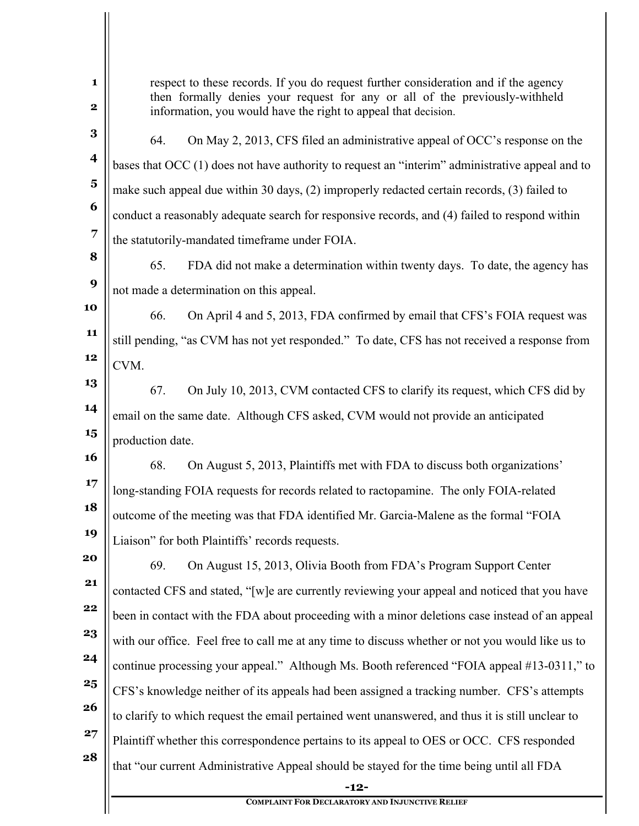| 1<br>$\mathbf 2$        | respect to these records. If you do request further consideration and if the agency<br>then formally denies your request for any or all of the previously-withheld<br>information, you would have the right to appeal that decision. |  |  |
|-------------------------|--------------------------------------------------------------------------------------------------------------------------------------------------------------------------------------------------------------------------------------|--|--|
| $\bf{3}$                | On May 2, 2013, CFS filed an administrative appeal of OCC's response on the<br>64.                                                                                                                                                   |  |  |
| $\overline{\mathbf{4}}$ | bases that $\rm{OCC}$ (1) does not have authority to request an "interim" administrative appeal and to                                                                                                                               |  |  |
| $\overline{\mathbf{5}}$ | make such appeal due within 30 days, (2) improperly redacted certain records, (3) failed to                                                                                                                                          |  |  |
| 6                       | conduct a reasonably adequate search for responsive records, and (4) failed to respond within                                                                                                                                        |  |  |
| 7                       | the statutorily-mandated timeframe under FOIA.                                                                                                                                                                                       |  |  |
| 8                       | 65.<br>FDA did not make a determination within twenty days. To date, the agency has                                                                                                                                                  |  |  |
| 9                       | not made a determination on this appeal.                                                                                                                                                                                             |  |  |
| 10                      | 66.<br>On April 4 and 5, 2013, FDA confirmed by email that CFS's FOIA request was                                                                                                                                                    |  |  |
| 11                      | still pending, "as CVM has not yet responded." To date, CFS has not received a response from                                                                                                                                         |  |  |
| 12                      | CVM.                                                                                                                                                                                                                                 |  |  |
| 13                      | 67.<br>On July 10, 2013, CVM contacted CFS to clarify its request, which CFS did by                                                                                                                                                  |  |  |
| 14                      | email on the same date. Although CFS asked, CVM would not provide an anticipated                                                                                                                                                     |  |  |
| 15                      | production date.                                                                                                                                                                                                                     |  |  |
| <b>16</b>               | 68.<br>On August 5, 2013, Plaintiffs met with FDA to discuss both organizations'                                                                                                                                                     |  |  |
| 17                      | long-standing FOIA requests for records related to ractopamine. The only FOIA-related                                                                                                                                                |  |  |
| 18                      | outcome of the meeting was that FDA identified Mr. Garcia-Malene as the formal "FOIA                                                                                                                                                 |  |  |
| 19                      | Liaison" for both Plaintiffs' records requests.                                                                                                                                                                                      |  |  |
| 20                      | 69.<br>On August 15, 2013, Olivia Booth from FDA's Program Support Center                                                                                                                                                            |  |  |
| 21                      | contacted CFS and stated, "[w]e are currently reviewing your appeal and noticed that you have                                                                                                                                        |  |  |
| 22                      | been in contact with the FDA about proceeding with a minor deletions case instead of an appeal                                                                                                                                       |  |  |
| 23                      | with our office. Feel free to call me at any time to discuss whether or not you would like us to                                                                                                                                     |  |  |
| 24                      | continue processing your appeal." Although Ms. Booth referenced "FOIA appeal #13-0311," to                                                                                                                                           |  |  |
| 25                      | CFS's knowledge neither of its appeals had been assigned a tracking number. CFS's attempts                                                                                                                                           |  |  |
| 26                      | to clarify to which request the email pertained went unanswered, and thus it is still unclear to                                                                                                                                     |  |  |
| 27                      | Plaintiff whether this correspondence pertains to its appeal to OES or OCC. CFS responded                                                                                                                                            |  |  |
| 28                      | that "our current Administrative Appeal should be stayed for the time being until all FDA                                                                                                                                            |  |  |
|                         | $-12-$                                                                                                                                                                                                                               |  |  |
|                         | <b>COMPLAINT FOR DECLARATORY AND INJUNCTIVE RELIEF</b>                                                                                                                                                                               |  |  |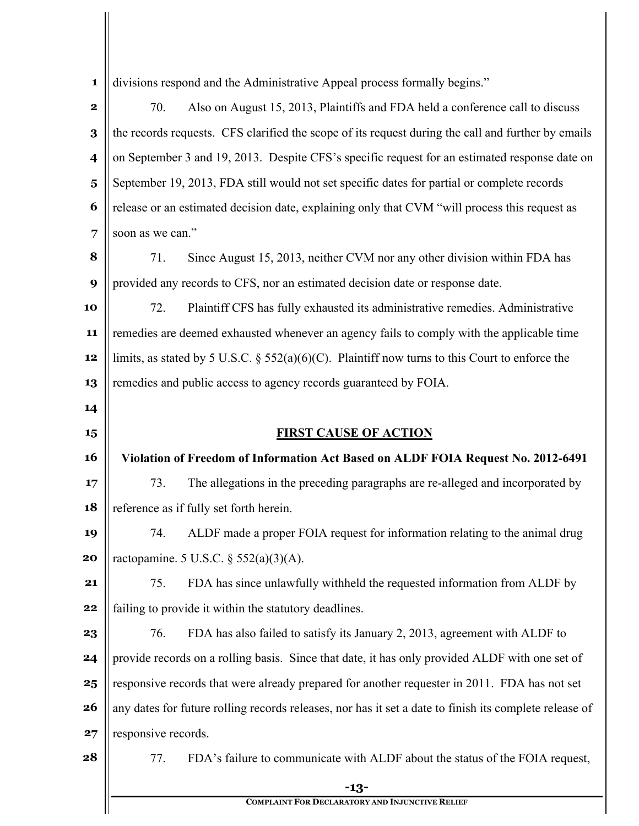| $\mathbf{1}$            |                                                                                                | divisions respond and the Administrative Appeal process formally begins."                              |
|-------------------------|------------------------------------------------------------------------------------------------|--------------------------------------------------------------------------------------------------------|
| $\mathbf 2$             | 70.                                                                                            | Also on August 15, 2013, Plaintiffs and FDA held a conference call to discuss                          |
| 3                       |                                                                                                | the records requests. CFS clarified the scope of its request during the call and further by emails     |
| $\overline{\mathbf{4}}$ |                                                                                                | on September 3 and 19, 2013. Despite CFS's specific request for an estimated response date on          |
| $\overline{\mathbf{5}}$ |                                                                                                | September 19, 2013, FDA still would not set specific dates for partial or complete records             |
| 6                       |                                                                                                | release or an estimated decision date, explaining only that CVM "will process this request as          |
| 7                       | soon as we can."                                                                               |                                                                                                        |
| 8                       | 71.                                                                                            | Since August 15, 2013, neither CVM nor any other division within FDA has                               |
| 9                       |                                                                                                | provided any records to CFS, nor an estimated decision date or response date.                          |
| 10                      | 72.                                                                                            | Plaintiff CFS has fully exhausted its administrative remedies. Administrative                          |
| 11                      |                                                                                                | remedies are deemed exhausted whenever an agency fails to comply with the applicable time              |
| 12                      |                                                                                                | limits, as stated by 5 U.S.C. § 552(a)(6)(C). Plaintiff now turns to this Court to enforce the         |
| 13                      |                                                                                                | remedies and public access to agency records guaranteed by FOIA.                                       |
| 14                      |                                                                                                |                                                                                                        |
| 15                      |                                                                                                | <b>FIRST CAUSE OF ACTION</b>                                                                           |
| 16                      |                                                                                                | Violation of Freedom of Information Act Based on ALDF FOIA Request No. 2012-6491                       |
| 17                      | 73.                                                                                            | The allegations in the preceding paragraphs are re-alleged and incorporated by                         |
| 18                      |                                                                                                | reference as if fully set forth herein.                                                                |
| 19                      | 74.                                                                                            | ALDF made a proper FOIA request for information relating to the animal drug                            |
| 20                      |                                                                                                | ractopamine. 5 U.S.C. $\S$ 552(a)(3)(A).                                                               |
| 21                      | 75.                                                                                            | FDA has since unlawfully withheld the requested information from ALDF by                               |
| 22                      |                                                                                                | failing to provide it within the statutory deadlines.                                                  |
| 23                      | 76.                                                                                            | FDA has also failed to satisfy its January 2, 2013, agreement with ALDF to                             |
| 24                      | provide records on a rolling basis. Since that date, it has only provided ALDF with one set of |                                                                                                        |
| 25                      |                                                                                                | responsive records that were already prepared for another requester in 2011. FDA has not set           |
| 26                      |                                                                                                | any dates for future rolling records releases, nor has it set a date to finish its complete release of |
| 27                      | responsive records.                                                                            |                                                                                                        |
|                         |                                                                                                |                                                                                                        |
| 28                      | 77.                                                                                            | FDA's failure to communicate with ALDF about the status of the FOIA request,                           |

**COMPLAINT FOR DECLARATORY AND INJUNCTIVE RELIEF**

 $\mathop{\parallel}$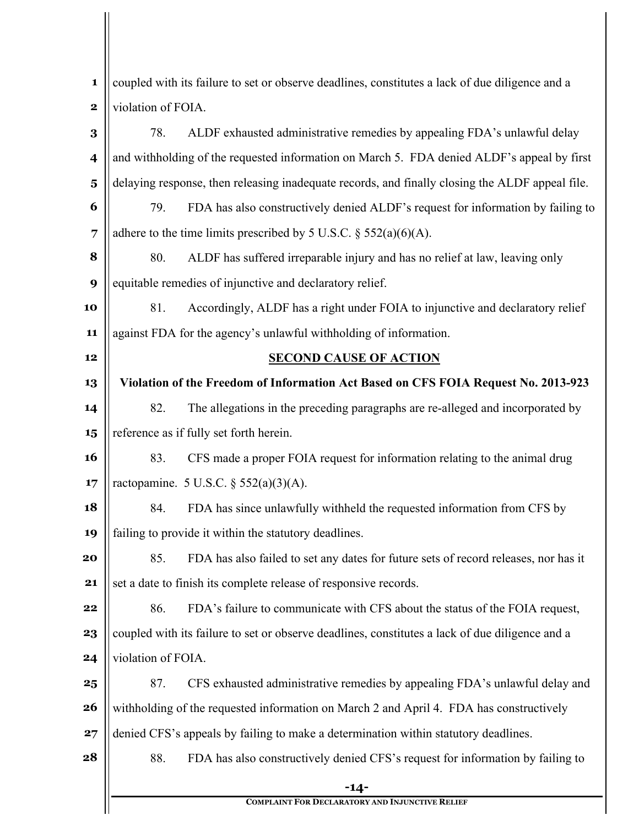| 1                       | coupled with its failure to set or observe deadlines, constitutes a lack of due diligence and a |                                                                                                 |
|-------------------------|-------------------------------------------------------------------------------------------------|-------------------------------------------------------------------------------------------------|
| $\mathbf 2$             | violation of FOIA.                                                                              |                                                                                                 |
| $\bf{3}$                | 78.                                                                                             | ALDF exhausted administrative remedies by appealing FDA's unlawful delay                        |
| $\overline{\mathbf{4}}$ |                                                                                                 | and withholding of the requested information on March 5. FDA denied ALDF's appeal by first      |
| $\overline{\mathbf{5}}$ |                                                                                                 | delaying response, then releasing inadequate records, and finally closing the ALDF appeal file. |
| 6                       | 79.                                                                                             | FDA has also constructively denied ALDF's request for information by failing to                 |
| 7                       |                                                                                                 | adhere to the time limits prescribed by 5 U.S.C. $\S$ 552(a)(6)(A).                             |
| 8                       | 80.                                                                                             | ALDF has suffered irreparable injury and has no relief at law, leaving only                     |
| 9                       |                                                                                                 | equitable remedies of injunctive and declaratory relief.                                        |
| 10                      | 81.                                                                                             | Accordingly, ALDF has a right under FOIA to injunctive and declaratory relief                   |
| 11                      |                                                                                                 | against FDA for the agency's unlawful withholding of information.                               |
| 12                      |                                                                                                 | <b>SECOND CAUSE OF ACTION</b>                                                                   |
| 13                      |                                                                                                 | Violation of the Freedom of Information Act Based on CFS FOIA Request No. 2013-923              |
| 14                      | 82.                                                                                             | The allegations in the preceding paragraphs are re-alleged and incorporated by                  |
| 15                      |                                                                                                 | reference as if fully set forth herein.                                                         |
| 16                      | 83.                                                                                             | CFS made a proper FOIA request for information relating to the animal drug                      |
| 17                      |                                                                                                 | ractopamine. 5 U.S.C. $\S$ 552(a)(3)(A).                                                        |
| 18                      | 84.                                                                                             | FDA has since unlawfully withheld the requested information from CFS by                         |
| 19                      |                                                                                                 | failing to provide it within the statutory deadlines.                                           |
| 20                      | 85.                                                                                             | FDA has also failed to set any dates for future sets of record releases, nor has it             |
| 21                      |                                                                                                 | set a date to finish its complete release of responsive records.                                |
| 22                      | 86.                                                                                             | FDA's failure to communicate with CFS about the status of the FOIA request,                     |
| 23                      |                                                                                                 | coupled with its failure to set or observe deadlines, constitutes a lack of due diligence and a |
| 24                      | violation of FOIA.                                                                              |                                                                                                 |
| 25                      | 87.                                                                                             | CFS exhausted administrative remedies by appealing FDA's unlawful delay and                     |
| 26                      |                                                                                                 | withholding of the requested information on March 2 and April 4. FDA has constructively         |
| 27                      |                                                                                                 | denied CFS's appeals by failing to make a determination within statutory deadlines.             |
| 28                      | 88.                                                                                             | FDA has also constructively denied CFS's request for information by failing to                  |
|                         |                                                                                                 | -14-                                                                                            |
|                         |                                                                                                 | <b>COMPLAINT FOR DECLARATORY AND INJUNCTIVE RELIEF</b>                                          |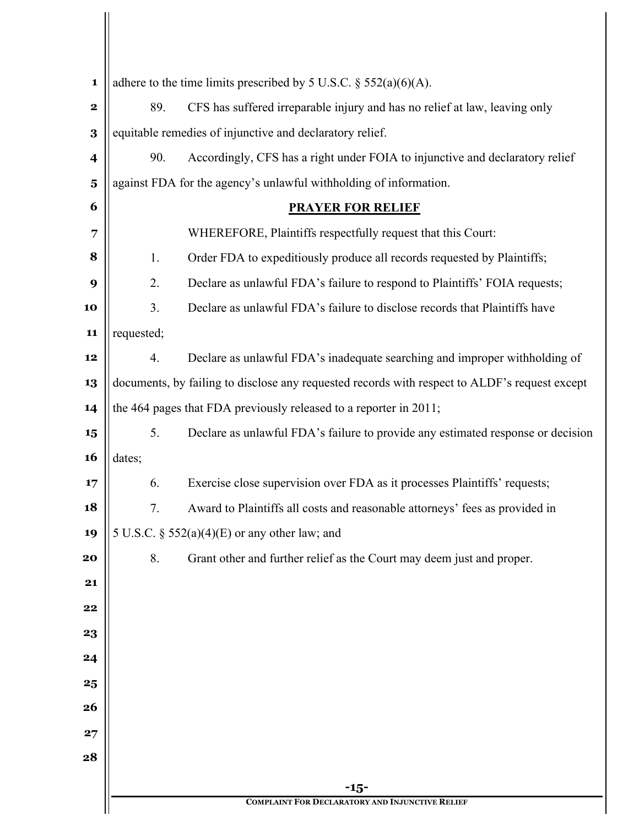| 1                       |                                                                                               |                                                                                 |  |  |
|-------------------------|-----------------------------------------------------------------------------------------------|---------------------------------------------------------------------------------|--|--|
|                         | adhere to the time limits prescribed by 5 U.S.C. $\S$ 552(a)(6)(A).                           |                                                                                 |  |  |
| $\mathbf 2$             | CFS has suffered irreparable injury and has no relief at law, leaving only<br>89.             |                                                                                 |  |  |
| 3                       | equitable remedies of injunctive and declaratory relief.                                      |                                                                                 |  |  |
| $\overline{\mathbf{4}}$ | 90.                                                                                           | Accordingly, CFS has a right under FOIA to injunctive and declaratory relief    |  |  |
| $\overline{\mathbf{5}}$ | against FDA for the agency's unlawful withholding of information.                             |                                                                                 |  |  |
| 6                       | <b>PRAYER FOR RELIEF</b>                                                                      |                                                                                 |  |  |
| 7                       | WHEREFORE, Plaintiffs respectfully request that this Court:                                   |                                                                                 |  |  |
| 8                       | 1.                                                                                            | Order FDA to expeditiously produce all records requested by Plaintiffs;         |  |  |
| 9                       | 2.                                                                                            | Declare as unlawful FDA's failure to respond to Plaintiffs' FOIA requests;      |  |  |
| 10                      | 3.                                                                                            | Declare as unlawful FDA's failure to disclose records that Plaintiffs have      |  |  |
| 11                      | requested;                                                                                    |                                                                                 |  |  |
| 12                      | 4.                                                                                            | Declare as unlawful FDA's inadequate searching and improper withholding of      |  |  |
| 13                      | documents, by failing to disclose any requested records with respect to ALDF's request except |                                                                                 |  |  |
| 14                      | the 464 pages that FDA previously released to a reporter in 2011;                             |                                                                                 |  |  |
| 15                      | 5.                                                                                            | Declare as unlawful FDA's failure to provide any estimated response or decision |  |  |
| <b>16</b>               | dates;                                                                                        |                                                                                 |  |  |
| 17                      | 6.                                                                                            | Exercise close supervision over FDA as it processes Plaintiffs' requests;       |  |  |
| 18                      | 7.                                                                                            | Award to Plaintiffs all costs and reasonable attorneys' fees as provided in     |  |  |
| 19                      | 5 U.S.C. § $552(a)(4)(E)$ or any other law; and                                               |                                                                                 |  |  |
| 20                      | Grant other and further relief as the Court may deem just and proper.<br>8.                   |                                                                                 |  |  |
| 21                      |                                                                                               |                                                                                 |  |  |
| 22                      |                                                                                               |                                                                                 |  |  |
| 23                      |                                                                                               |                                                                                 |  |  |
| 24                      |                                                                                               |                                                                                 |  |  |
| 25                      |                                                                                               |                                                                                 |  |  |
| 26                      |                                                                                               |                                                                                 |  |  |
| 27                      |                                                                                               |                                                                                 |  |  |
| 28                      |                                                                                               |                                                                                 |  |  |
|                         |                                                                                               | $-15-$                                                                          |  |  |
|                         |                                                                                               | <b>COMPLAINT FOR DECLARATORY AND INJUNCTIVE RELIEF</b>                          |  |  |

 $\mathbb{I}$